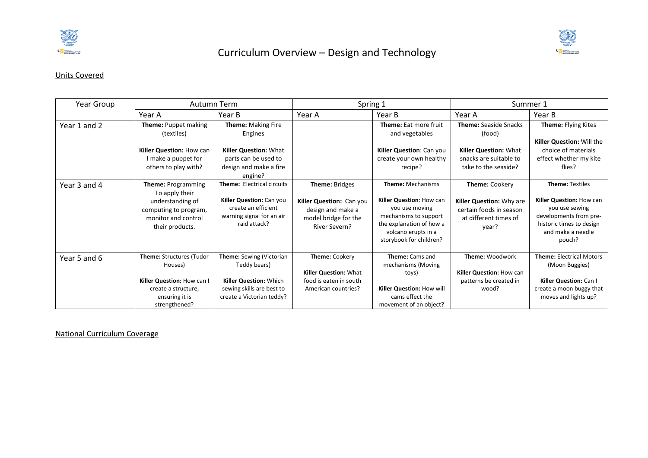



## Units Covered

| Year Group   |                                                                                                                                    | Autumn Term                                                                                                                         |                                                                                                          | Spring 1                                                                                                                                                                      |                                                                                                         | Summer 1                                                                                                                                                  |
|--------------|------------------------------------------------------------------------------------------------------------------------------------|-------------------------------------------------------------------------------------------------------------------------------------|----------------------------------------------------------------------------------------------------------|-------------------------------------------------------------------------------------------------------------------------------------------------------------------------------|---------------------------------------------------------------------------------------------------------|-----------------------------------------------------------------------------------------------------------------------------------------------------------|
|              | Year A                                                                                                                             | Year B                                                                                                                              | Year A                                                                                                   | Year B                                                                                                                                                                        | Year A                                                                                                  | Year B                                                                                                                                                    |
| Year 1 and 2 | Theme: Puppet making<br>(textiles)                                                                                                 | Theme: Making Fire<br>Engines                                                                                                       |                                                                                                          | Theme: Eat more fruit<br>and vegetables                                                                                                                                       | <b>Theme: Seaside Snacks</b><br>(food)                                                                  | Theme: Flying Kites<br>Killer Question: Will the                                                                                                          |
|              | Killer Question: How can<br>I make a puppet for<br>others to play with?                                                            | <b>Killer Question: What</b><br>parts can be used to<br>design and make a fire<br>engine?                                           |                                                                                                          | Killer Question: Can you<br>create your own healthy<br>recipe?                                                                                                                | Killer Question: What<br>snacks are suitable to<br>take to the seaside?                                 | choice of materials<br>effect whether my kite<br>flies?                                                                                                   |
| Year 3 and 4 | <b>Theme: Programming</b><br>To apply their<br>understanding of<br>computing to program,<br>monitor and control<br>their products. | Theme: Electrical circuits<br>Killer Question: Can you<br>create an efficient<br>warning signal for an air<br>raid attack?          | Theme: Bridges<br>Killer Question: Can you<br>design and make a<br>model bridge for the<br>River Severn? | <b>Theme: Mechanisms</b><br>Killer Question: How can<br>you use moving<br>mechanisms to support<br>the explanation of how a<br>volcano erupts in a<br>storybook for children? | Theme: Cookery<br>Killer Question: Why are<br>certain foods in season<br>at different times of<br>year? | <b>Theme: Textiles</b><br>Killer Question: How can<br>you use sewing<br>developments from pre-<br>historic times to design<br>and make a needle<br>pouch? |
| Year 5 and 6 | Theme: Structures (Tudor<br>Houses)<br>Killer Question: How can I<br>create a structure,<br>ensuring it is<br>strengthened?        | Theme: Sewing (Victorian<br>Teddy bears)<br><b>Killer Question: Which</b><br>sewing skills are best to<br>create a Victorian teddy? | Theme: Cookery<br><b>Killer Question: What</b><br>food is eaten in south<br>American countries?          | Theme: Cams and<br>mechanisms (Moving<br>toys)<br>Killer Question: How will<br>cams effect the<br>movement of an object?                                                      | <b>Theme: Woodwork</b><br>Killer Question: How can<br>patterns be created in<br>wood?                   | <b>Theme: Electrical Motors</b><br>(Moon Buggies)<br>Killer Question: Can I<br>create a moon buggy that<br>moves and lights up?                           |

National Curriculum Coverage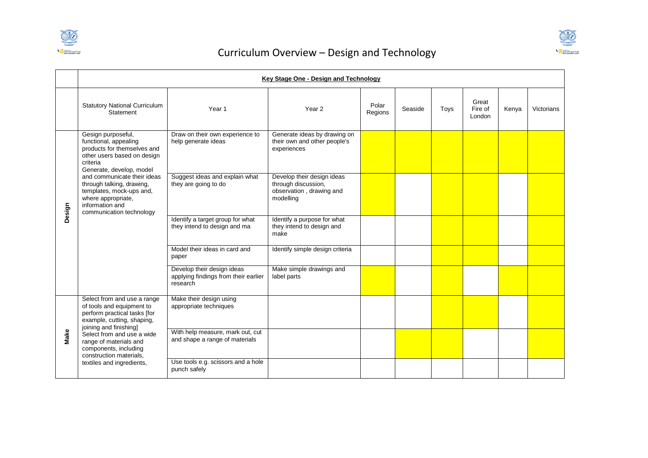



|        | Key Stage One - Design and Technology                                                                                                                           |                                                                                |                                                                                            |                  |         |      |                            |       |            |  |  |
|--------|-----------------------------------------------------------------------------------------------------------------------------------------------------------------|--------------------------------------------------------------------------------|--------------------------------------------------------------------------------------------|------------------|---------|------|----------------------------|-------|------------|--|--|
|        | <b>Statutory National Curriculum</b><br>Statement                                                                                                               | Year 1                                                                         | Year 2                                                                                     | Polar<br>Regions | Seaside | Toys | Great<br>Fire of<br>London | Kenya | Victorians |  |  |
| Design | Gesign purposeful,<br>functional, appealing<br>products for themselves and<br>other users based on design<br>criteria<br>Generate, develop, model               | Draw on their own experience to<br>help generate ideas                         | Generate ideas by drawing on<br>their own and other people's<br>experiences                |                  |         |      |                            |       |            |  |  |
|        | and communicate their ideas<br>through talking, drawing,<br>templates, mock-ups and,<br>where appropriate,<br>information and<br>communication technology       | Suggest ideas and explain what<br>they are going to do                         | Develop their design ideas<br>through discussion,<br>observation, drawing and<br>modelling |                  |         |      |                            |       |            |  |  |
|        |                                                                                                                                                                 | Identify a target group for what<br>they intend to design and ma               | Identify a purpose for what<br>they intend to design and<br>make                           |                  |         |      |                            |       |            |  |  |
|        |                                                                                                                                                                 | Model their ideas in card and<br>paper                                         | Identify simple design criteria                                                            |                  |         |      |                            |       |            |  |  |
|        |                                                                                                                                                                 | Develop their design ideas<br>applying findings from their earlier<br>research | Make simple drawings and<br>label parts                                                    |                  |         |      |                            |       |            |  |  |
|        | Select from and use a range<br>of tools and equipment to<br>perform practical tasks [for<br>example, cutting, shaping,                                          | Make their design using<br>appropriate techniques                              |                                                                                            |                  |         |      |                            |       |            |  |  |
| Make   | joining and finishing]<br>Select from and use a wide<br>range of materials and<br>components, including<br>construction materials,<br>textiles and ingredients, | With help measure, mark out, cut<br>and shape a range of materials             |                                                                                            |                  |         |      |                            |       |            |  |  |
|        |                                                                                                                                                                 | Use tools e.g. scissors and a hole<br>punch safely                             |                                                                                            |                  |         |      |                            |       |            |  |  |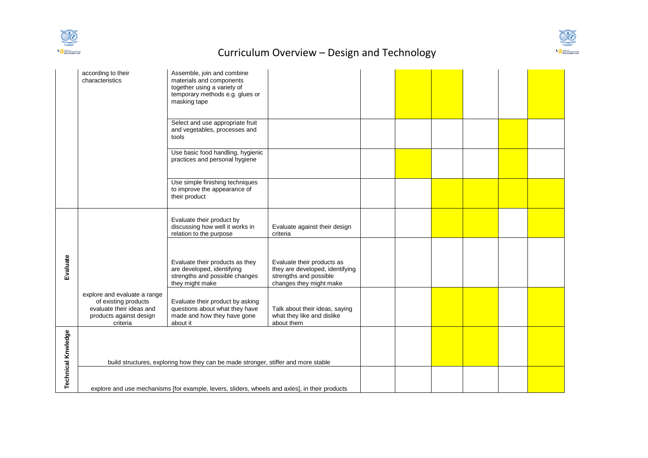



|                           | according to their<br>characteristics                                                                                                                                                | Assemble, join and combine<br>materials and components<br>together using a variety of<br>temporary methods e.g. glues or<br>masking tape |                                                                                                                    |  |  |  |  |
|---------------------------|--------------------------------------------------------------------------------------------------------------------------------------------------------------------------------------|------------------------------------------------------------------------------------------------------------------------------------------|--------------------------------------------------------------------------------------------------------------------|--|--|--|--|
|                           |                                                                                                                                                                                      | Select and use appropriate fruit<br>and vegetables, processes and<br>tools                                                               |                                                                                                                    |  |  |  |  |
|                           |                                                                                                                                                                                      | Use basic food handling, hygienic<br>practices and personal hygiene                                                                      |                                                                                                                    |  |  |  |  |
|                           |                                                                                                                                                                                      | Use simple finishing techniques<br>to improve the appearance of<br>their product                                                         |                                                                                                                    |  |  |  |  |
|                           |                                                                                                                                                                                      | Evaluate their product by<br>discussing how well it works in<br>relation to the purpose                                                  | Evaluate against their design<br>criteria                                                                          |  |  |  |  |
| Evaluate                  |                                                                                                                                                                                      | Evaluate their products as they<br>are developed, identifying<br>strengths and possible changes<br>they might make                       | Evaluate their products as<br>they are developed, identifying<br>strengths and possible<br>changes they might make |  |  |  |  |
|                           | explore and evaluate a range<br>of existing products<br>evaluate their ideas and<br>products against design<br>criteria                                                              | Evaluate their product by asking<br>questions about what they have<br>made and how they have gone<br>about it                            | Talk about their ideas, saying<br>what they like and dislike<br>about them                                         |  |  |  |  |
| <b>Technical Knwledge</b> |                                                                                                                                                                                      |                                                                                                                                          |                                                                                                                    |  |  |  |  |
|                           | build structures, exploring how they can be made stronger, stiffer and more stable<br>explore and use mechanisms [for example, levers, sliders, wheels and axles], in their products |                                                                                                                                          |                                                                                                                    |  |  |  |  |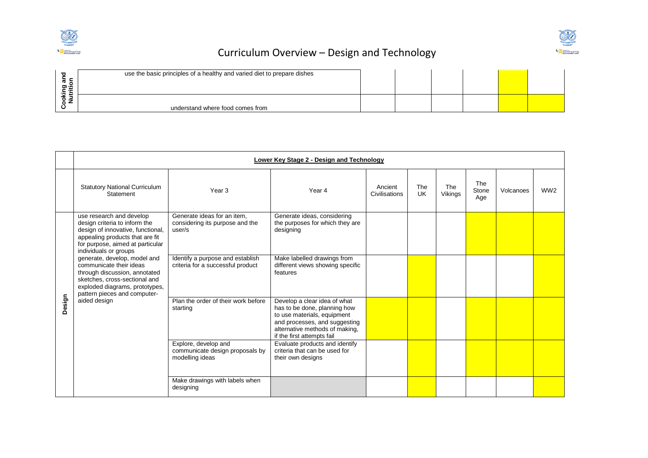



| use the basic principles of a healthy and varied diet to prepare dishes |  |  |  |
|-------------------------------------------------------------------------|--|--|--|
| understand where food comes from                                        |  |  |  |

|        | Lower Key Stage 2 - Design and Technology                                                                                                                                                      |                                                                            |                                                                                                                                                                                              |                          |           |                |                     |           |                 |  |  |
|--------|------------------------------------------------------------------------------------------------------------------------------------------------------------------------------------------------|----------------------------------------------------------------------------|----------------------------------------------------------------------------------------------------------------------------------------------------------------------------------------------|--------------------------|-----------|----------------|---------------------|-----------|-----------------|--|--|
|        | <b>Statutory National Curriculum</b><br>Statement                                                                                                                                              | Year <sub>3</sub>                                                          | Year 4                                                                                                                                                                                       | Ancient<br>Civilisations | The<br>UK | The<br>Vikings | The<br>Stone<br>Age | Volcanoes | WW <sub>2</sub> |  |  |
|        | use research and develop<br>design criteria to inform the<br>design of innovative, functional,<br>appealing products that are fit<br>for purpose, aimed at particular<br>individuals or groups | Generate ideas for an item,<br>considering its purpose and the<br>user/s   | Generate ideas, considering<br>the purposes for which they are<br>designing                                                                                                                  |                          |           |                |                     |           |                 |  |  |
| Design | generate, develop, model and<br>communicate their ideas<br>through discussion, annotated<br>sketches, cross-sectional and<br>exploded diagrams, prototypes,<br>pattern pieces and computer-    | Identify a purpose and establish<br>criteria for a successful product      | Make labelled drawings from<br>different views showing specific<br>features                                                                                                                  |                          |           |                |                     |           |                 |  |  |
|        | aided design                                                                                                                                                                                   | Plan the order of their work before<br>starting                            | Develop a clear idea of what<br>has to be done, planning how<br>to use materials, equipment<br>and processes, and suggesting<br>alternative methods of making,<br>if the first attempts fail |                          |           |                |                     |           |                 |  |  |
|        |                                                                                                                                                                                                | Explore, develop and<br>communicate design proposals by<br>modelling ideas | Evaluate products and identify<br>criteria that can be used for<br>their own designs                                                                                                         |                          |           |                |                     |           |                 |  |  |
|        |                                                                                                                                                                                                | Make drawings with labels when<br>designing                                |                                                                                                                                                                                              |                          |           |                |                     |           |                 |  |  |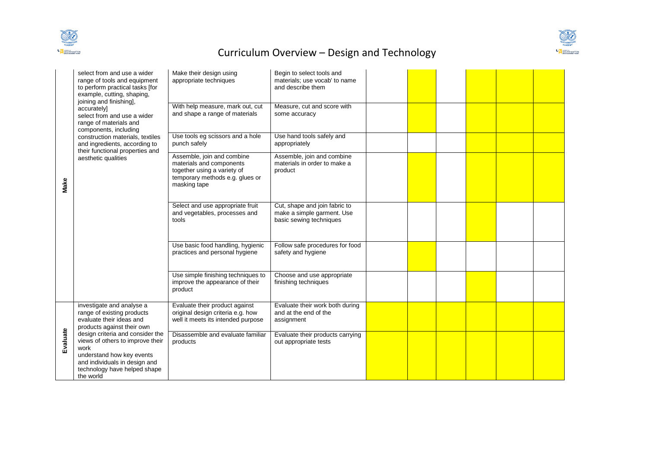



| Make     | select from and use a wider<br>range of tools and equipment<br>to perform practical tasks [for<br>example, cutting, shaping,<br>joining and finishing],<br>accurately]<br>select from and use a wider<br>range of materials and<br>components, including<br>construction materials, textiles<br>and ingredients, according to<br>their functional properties and<br>aesthetic qualities | Make their design using<br>appropriate techniques<br>With help measure, mark out, cut<br>and shape a range of materials                  | Begin to select tools and<br>materials; use vocab' to name<br>and describe them<br>Measure, cut and score with<br>some accuracy |  |  |  |
|----------|-----------------------------------------------------------------------------------------------------------------------------------------------------------------------------------------------------------------------------------------------------------------------------------------------------------------------------------------------------------------------------------------|------------------------------------------------------------------------------------------------------------------------------------------|---------------------------------------------------------------------------------------------------------------------------------|--|--|--|
|          |                                                                                                                                                                                                                                                                                                                                                                                         | Use tools eg scissors and a hole<br>punch safely                                                                                         | Use hand tools safely and<br>appropriately                                                                                      |  |  |  |
|          |                                                                                                                                                                                                                                                                                                                                                                                         | Assemble, join and combine<br>materials and components<br>together using a variety of<br>temporary methods e.g. glues or<br>masking tape | Assemble, join and combine<br>materials in order to make a<br>product                                                           |  |  |  |
|          |                                                                                                                                                                                                                                                                                                                                                                                         | Select and use appropriate fruit<br>and vegetables, processes and<br>tools                                                               | Cut, shape and join fabric to<br>make a simple garment. Use<br>basic sewing techniques                                          |  |  |  |
|          |                                                                                                                                                                                                                                                                                                                                                                                         | Use basic food handling, hygienic<br>practices and personal hygiene                                                                      | Follow safe procedures for food<br>safety and hygiene                                                                           |  |  |  |
|          |                                                                                                                                                                                                                                                                                                                                                                                         | Use simple finishing techniques to<br>improve the appearance of their<br>product                                                         | Choose and use appropriate<br>finishing techniques                                                                              |  |  |  |
|          | investigate and analyse a<br>range of existing products<br>evaluate their ideas and<br>products against their own                                                                                                                                                                                                                                                                       | Evaluate their product against<br>original design criteria e.g. how<br>well it meets its intended purpose                                | Evaluate their work both during<br>and at the end of the<br>assignment                                                          |  |  |  |
| Evaluate | design criteria and consider the<br>views of others to improve their<br>work<br>understand how key events<br>and individuals in design and<br>technology have helped shape<br>the world                                                                                                                                                                                                 | Disassemble and evaluate familiar<br>products                                                                                            | Evaluate their products carrying<br>out appropriate tests                                                                       |  |  |  |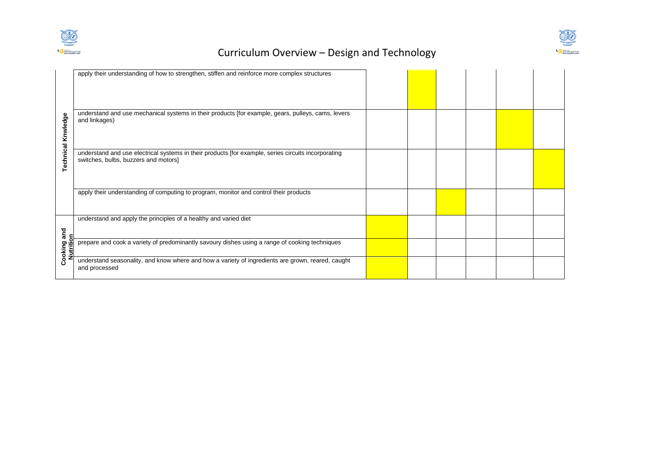



|                           | apply their understanding of how to strengthen, stiffen and reinforce more complex structures                                               |  |  |  |
|---------------------------|---------------------------------------------------------------------------------------------------------------------------------------------|--|--|--|
| <b>Technical Knwledge</b> | understand and use mechanical systems in their products [for example, gears, pulleys, cams, levers<br>and linkages)                         |  |  |  |
|                           | understand and use electrical systems in their products [for example, series circuits incorporating<br>switches, bulbs, buzzers and motors] |  |  |  |
|                           | apply their understanding of computing to program, monitor and control their products                                                       |  |  |  |
| and<br>c                  | understand and apply the principles of a healthy and varied diet                                                                            |  |  |  |
| ٥<br>Cooking<br>utriti    | prepare and cook a variety of predominantly savoury dishes using a range of cooking techniques                                              |  |  |  |
|                           | understand seasonality, and know where and how a variety of ingredients are grown, reared, caught<br>and processed                          |  |  |  |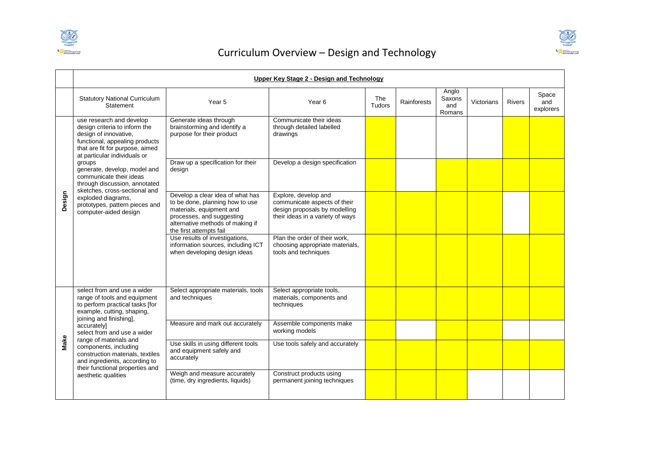



|        | Upper Key Stage 2 - Design and Technology                                                                                                                                                                                                                                                                                                                                                                       |                                                                                                                                                                                             |                                                                                                                           |                      |             |                                  |            |               |                           |  |
|--------|-----------------------------------------------------------------------------------------------------------------------------------------------------------------------------------------------------------------------------------------------------------------------------------------------------------------------------------------------------------------------------------------------------------------|---------------------------------------------------------------------------------------------------------------------------------------------------------------------------------------------|---------------------------------------------------------------------------------------------------------------------------|----------------------|-------------|----------------------------------|------------|---------------|---------------------------|--|
|        | <b>Statutory National Curriculum</b><br>Statement                                                                                                                                                                                                                                                                                                                                                               | Year 5                                                                                                                                                                                      | Year <sub>6</sub>                                                                                                         | The<br><b>Tudors</b> | Rainforests | Anglo<br>Saxons<br>and<br>Romans | Victorians | <b>Rivers</b> | Space<br>and<br>explorers |  |
| Design | use research and develop<br>design criteria to inform the<br>design of innovative,<br>functional, appealing products<br>that are fit for purpose, aimed<br>at particular individuals or<br>groups<br>generate, develop, model and<br>communicate their ideas<br>through discussion, annotated<br>sketches, cross-sectional and<br>exploded diagrams,<br>prototypes, pattern pieces and<br>computer-aided design | Generate ideas through<br>brainstorming and identify a<br>purpose for their product                                                                                                         | Communicate their ideas<br>through detailed labelled<br>drawings                                                          |                      |             |                                  |            |               |                           |  |
|        |                                                                                                                                                                                                                                                                                                                                                                                                                 | Draw up a specification for their<br>desian                                                                                                                                                 | Develop a design specification                                                                                            |                      |             |                                  |            |               |                           |  |
|        |                                                                                                                                                                                                                                                                                                                                                                                                                 | Develop a clear idea of what has<br>to be done, planning how to use<br>materials, equipment and<br>processes, and suggesting<br>alternative methods of making if<br>the first attempts fail | Explore, develop and<br>communicate aspects of their<br>design proposals by modelling<br>their ideas in a variety of ways |                      |             |                                  |            |               |                           |  |
|        |                                                                                                                                                                                                                                                                                                                                                                                                                 | Use results of investigations,<br>information sources, including ICT<br>when developing design ideas                                                                                        | Plan the order of their work,<br>choosing appropriate materials,<br>tools and techniques                                  |                      |             |                                  |            |               |                           |  |
|        | select from and use a wider<br>range of tools and equipment<br>to perform practical tasks [for<br>example, cutting, shaping,                                                                                                                                                                                                                                                                                    | Select appropriate materials, tools<br>and techniques                                                                                                                                       | Select appropriate tools,<br>materials, components and<br>techniques                                                      |                      |             |                                  |            |               |                           |  |
|        | joining and finishing],<br>accurately]<br>select from and use a wider                                                                                                                                                                                                                                                                                                                                           | Measure and mark out accurately                                                                                                                                                             | Assemble components make<br>working models                                                                                |                      |             |                                  |            |               |                           |  |
| Make   | range of materials and<br>components, including<br>construction materials, textiles<br>and ingredients, according to<br>their functional properties and                                                                                                                                                                                                                                                         | Use skills in using different tools<br>and equipment safely and<br>accurately                                                                                                               | Use tools safely and accurately                                                                                           |                      |             |                                  |            |               |                           |  |
|        | aesthetic qualities                                                                                                                                                                                                                                                                                                                                                                                             | Weigh and measure accurately<br>(time, dry ingredients, liquids)                                                                                                                            | Construct products using<br>permanent joining techniques                                                                  |                      |             |                                  |            |               |                           |  |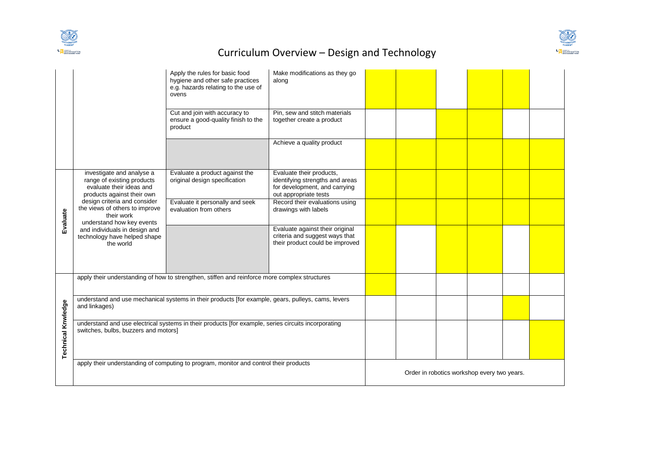



|                           |                                                                                                                                             | Apply the rules for basic food<br>hygiene and other safe practices<br>e.g. hazards relating to the use of<br>ovens | Make modifications as they go<br>along                                                                                |  |                                             |  |
|---------------------------|---------------------------------------------------------------------------------------------------------------------------------------------|--------------------------------------------------------------------------------------------------------------------|-----------------------------------------------------------------------------------------------------------------------|--|---------------------------------------------|--|
|                           |                                                                                                                                             | Cut and join with accuracy to<br>ensure a good-quality finish to the<br>product                                    | Pin, sew and stitch materials<br>together create a product                                                            |  |                                             |  |
|                           |                                                                                                                                             |                                                                                                                    | Achieve a quality product                                                                                             |  |                                             |  |
|                           | investigate and analyse a<br>range of existing products<br>evaluate their ideas and<br>products against their own                           | Evaluate a product against the<br>original design specification                                                    | Evaluate their products,<br>identifying strengths and areas<br>for development, and carrying<br>out appropriate tests |  |                                             |  |
| Evaluate                  | design criteria and consider<br>the views of others to improve<br>their work<br>understand how key events                                   | Evaluate it personally and seek<br>evaluation from others                                                          | Record their evaluations using<br>drawings with labels                                                                |  |                                             |  |
|                           | and individuals in design and<br>technology have helped shape<br>the world                                                                  |                                                                                                                    | Evaluate against their original<br>criteria and suggest ways that<br>their product could be improved                  |  |                                             |  |
|                           |                                                                                                                                             | apply their understanding of how to strengthen, stiffen and reinforce more complex structures                      |                                                                                                                       |  |                                             |  |
|                           | and linkages)                                                                                                                               | understand and use mechanical systems in their products [for example, gears, pulleys, cams, levers                 |                                                                                                                       |  |                                             |  |
| <b>Technical Knwledge</b> | understand and use electrical systems in their products [for example, series circuits incorporating<br>switches, bulbs, buzzers and motors] |                                                                                                                    |                                                                                                                       |  |                                             |  |
|                           |                                                                                                                                             | apply their understanding of computing to program, monitor and control their products                              |                                                                                                                       |  | Order in robotics workshop every two years. |  |